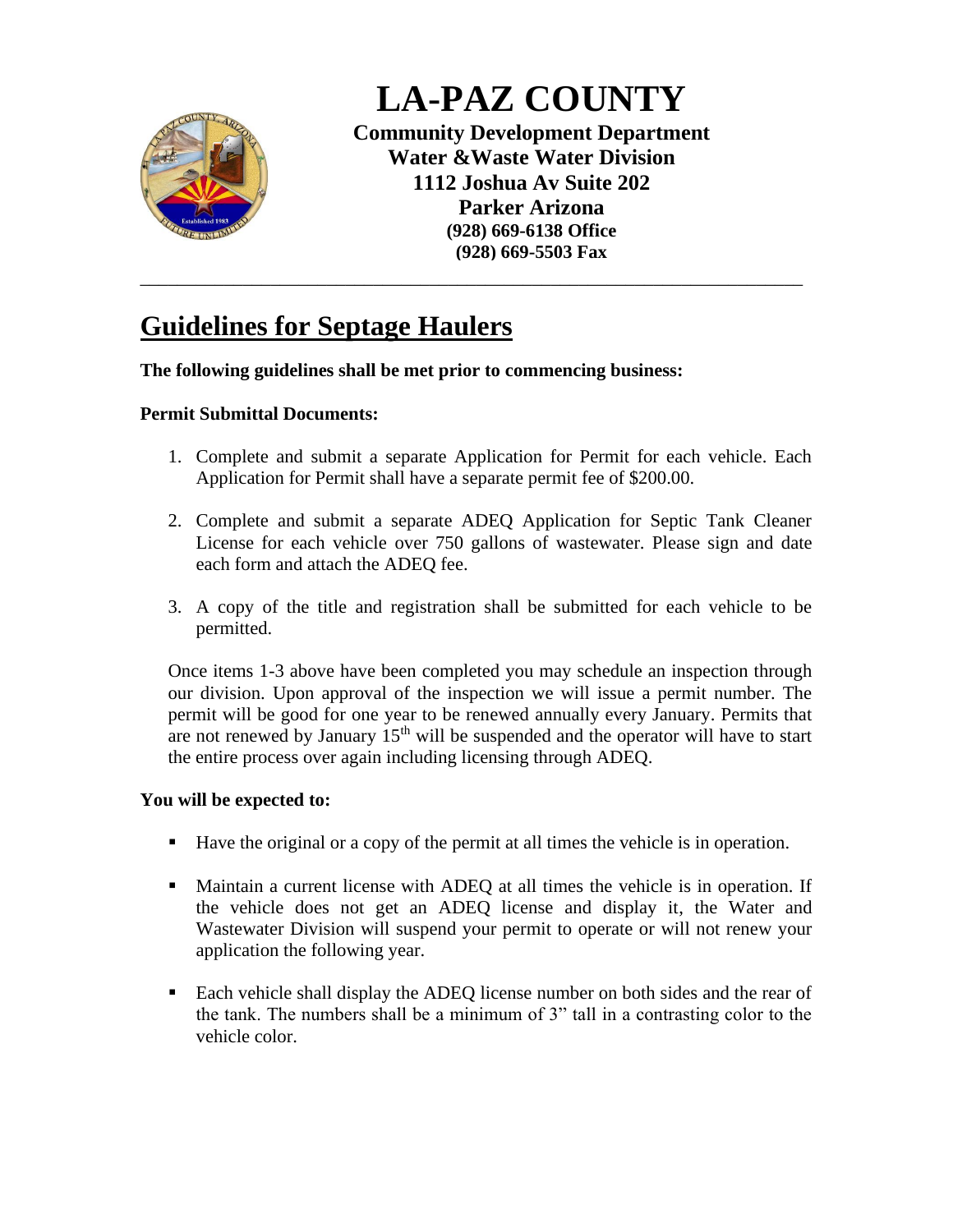

**LA-PAZ COUNTY**

**Community Development Department Water &Waste Water Division 1112 Joshua Av Suite 202 Parker Arizona (928) 669-6138 Office (928) 669-5503 Fax**

# **Guidelines for Septage Haulers**

## **The following guidelines shall be met prior to commencing business:**

## **Permit Submittal Documents:**

1. Complete and submit a separate Application for Permit for each vehicle. Each Application for Permit shall have a separate permit fee of \$200.00.

\_\_\_\_\_\_\_\_\_\_\_\_\_\_\_\_\_\_\_\_\_\_\_\_\_\_\_\_\_\_\_\_\_\_\_\_\_\_\_\_\_\_\_\_\_\_\_\_\_\_\_\_\_\_\_\_\_\_\_\_\_\_\_\_\_\_\_\_\_\_\_

- 2. Complete and submit a separate ADEQ Application for Septic Tank Cleaner License for each vehicle over 750 gallons of wastewater. Please sign and date each form and attach the ADEQ fee.
- 3. A copy of the title and registration shall be submitted for each vehicle to be permitted.

Once items 1-3 above have been completed you may schedule an inspection through our division. Upon approval of the inspection we will issue a permit number. The permit will be good for one year to be renewed annually every January. Permits that are not renewed by January 15<sup>th</sup> will be suspended and the operator will have to start the entire process over again including licensing through ADEQ.

#### **You will be expected to:**

- Have the original or a copy of the permit at all times the vehicle is in operation.
- Maintain a current license with ADEQ at all times the vehicle is in operation. If the vehicle does not get an ADEQ license and display it, the Water and Wastewater Division will suspend your permit to operate or will not renew your application the following year.
- Each vehicle shall display the ADEQ license number on both sides and the rear of the tank. The numbers shall be a minimum of 3" tall in a contrasting color to the vehicle color.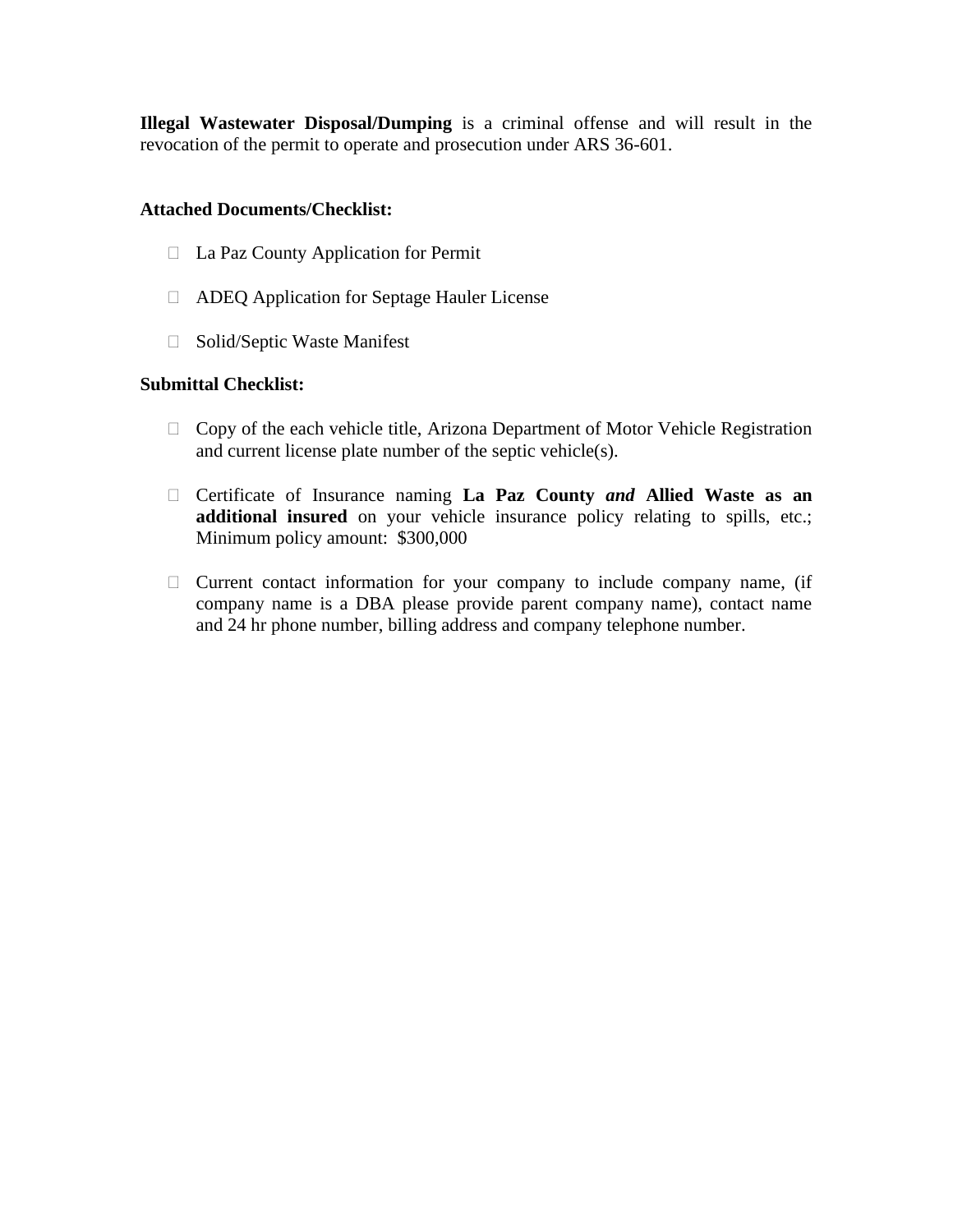**Illegal Wastewater Disposal/Dumping** is a criminal offense and will result in the revocation of the permit to operate and prosecution under ARS 36-601.

#### **Attached Documents/Checklist:**

- □ La Paz County Application for Permit
- ADEQ Application for Septage Hauler License
- □ Solid/Septic Waste Manifest

#### **Submittal Checklist:**

- $\Box$  Copy of the each vehicle title, Arizona Department of Motor Vehicle Registration and current license plate number of the septic vehicle(s).
- Certificate of Insurance naming **La Paz County** *and* **Allied Waste as an additional insured** on your vehicle insurance policy relating to spills, etc.; Minimum policy amount: \$300,000
- $\Box$  Current contact information for your company to include company name, (if company name is a DBA please provide parent company name), contact name and 24 hr phone number, billing address and company telephone number.